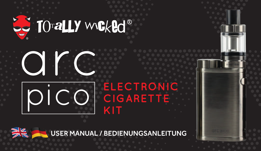# **LE TO aLLY WELLY CE**





## **ELECTRONIC CIGARETTE KIT**

USER MANUAL / BEDIENUNGSANLEITUNG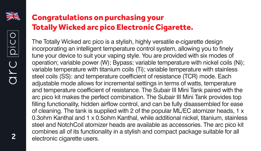

## Congratulations on purchasing your Totally Wicked arc pico Electronic Cigarette.

The Totally Wicked arc pico is a stylish, highly versatile e-cigarette design incorporating an intelligent temperature control system, allowing you to finely tune your device to suit your vaping style. You are provided with six modes of operation; variable power (W); Bypass; variable temperature with nickel coils (Ni); variable temperature with titanium coils (Ti); variable temperature with stainless steel coils (SS): and temperature coefficient of resistance (TCR) mode. Each adjustable mode allows for incremental settings in terms of watts, temperature and temperature coefficient of resistance. The Subair III Mini Tank paired with the arc pico kit makes the perfect combination. The Subair III Mini Tank provides top filling functionality, hidden airflow control, and can be fully disassembled for ease of cleaning. The tank is supplied with 2 of the popular ML/EC atomizer heads, 1 x 0.3ohm Kanthal and 1 x 0.5ohm Kanthal, while additional nickel, titanium, stainless steel and NotchCoil atomizer heads are available as accessories. The arc pico kit combines all of its functionality in a stylish and compact package suitable for all electronic cigarette users.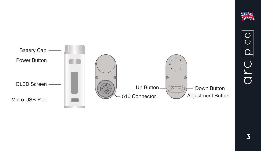

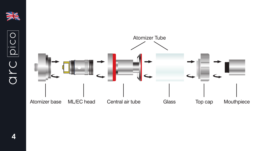

arc pico

4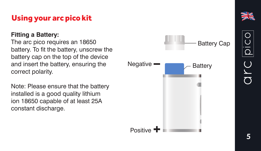#### **Fitting a Battery:**

The arc pico requires an 18650 battery. To fit the battery, unscrew the battery cap on the top of the device and insert the battery, ensuring the correct polarity.

Note: Please ensure that the battery installed is a good quality lithium ion 18650 capable of at least 25A constant discharge.

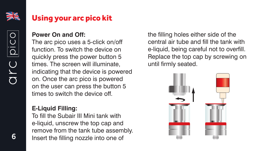

JrC

## Using your arc pico kit

## **Power On and Off:**

The arc pico uses a 5-click on/off function. To switch the device on quickly press the power button 5 times. The screen will illuminate, indicating that the device is powered on. Once the arc pico is powered on the user can press the button 5 times to switch the device off.

### **E-Liquid Filling:**

To fill the Subair III Mini tank with e-liquid, unscrew the top cap and remove from the tank tube assembly. Insert the filling nozzle into one of

the filling holes either side of the central air tube and fill the tank with e-liquid, being careful not to overfill. Replace the top cap by screwing on until firmly seated.

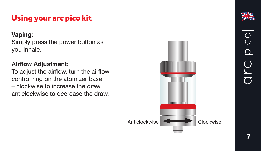### **Vaping:**

Simply press the power button as you inhale.

## **Airflow Adjustment:**

To adjust the airflow, turn the airflow control ring on the atomizer base – clockwise to increase the draw, anticlockwise to decrease the draw.

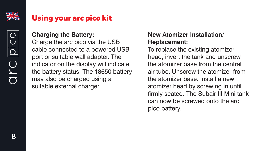

OYC

#### **Charging the Battery:**

Charge the arc pico via the USB cable connected to a powered USB port or suitable wall adapter. The indicator on the display will indicate the battery status. The 18650 battery may also be charged using a suitable external charger.

## **New Atomizer Installation/ Replacement:**

To replace the existing atomizer head, invert the tank and unscrew the atomizer base from the central air tube. Unscrew the atomizer from the atomizer base. Install a new atomizer head by screwing in until firmly seated. The Subair III Mini tank can now be screwed onto the arc pico battery.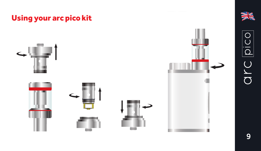







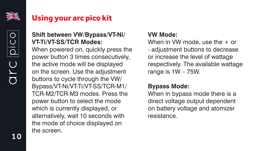

## **Shift between VW/Bypass/VT-Ni/ VT-Ti/VT-SS/TCR Modes:**

When powered on, quickly press the power button 3 times consecutively, the active mode will be displayed on the screen. Use the adjustment buttons to cycle through the VW/ Bypass/VT-Ni/VT-Ti/VT-SS/TCR-M1/ TCR-M2/TCR-M3 modes. Press the power button to select the mode which is currently displayed, or alternatively, wait 10 seconds with the mode of choice displayed on the screen.

#### **VW Mode:**

When in VW mode, use the + or - adjustment buttons to decrease or increase the level of wattage respectively. The available wattage range is 1W – 75W.

## **Bypass Mode:**

When in bypass mode there is a direct voltage output dependent on battery voltage and atomizer resistance.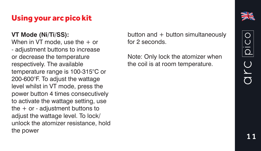#### **VT Mode (Ni/Ti/SS):**

When in VT mode, use the + or - adjustment buttons to increase or decrease the temperature respectively. The available temperature range is 100-315°C or 200-600°F. To adjust the wattage level whilst in VT mode, press the power button 4 times consecutively to activate the wattage setting, use the + or - adjustment buttons to adjust the wattage level. To lock/ unlock the atomizer resistance, hold the power

button and + button simultaneously for 2 seconds.

Note: Only lock the atomizer when the coil is at room temperature.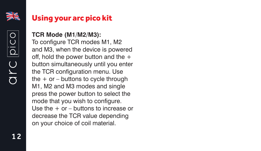

arc pico

#### **TCR Mode (M1/M2/M3):**

To configure TCR modes M1, M2 and M3, when the device is powered off, hold the power button and the + button simultaneously until you enter the TCR configuration menu. Use the  $+$  or  $-$  buttons to cycle through M1, M2 and M3 modes and single press the power button to select the mode that you wish to configure. Use the  $+$  or  $-$  buttons to increase or decrease the TCR value depending on your choice of coil material.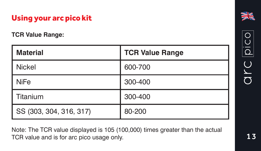**TCR Value Range:**

| <b>Material</b>         | <b>TCR Value Range</b> |
|-------------------------|------------------------|
| <b>Nickel</b>           | 600-700                |
| <b>NiFe</b>             | 300-400                |
| Titanium                | 300-400                |
| SS (303, 304, 316, 317) | 80-200                 |

Note: The TCR value displayed is 105 (100,000) times greater than the actual TCR value and is for arc pico usage only.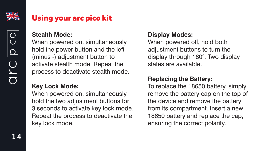

OLC

#### **Stealth Mode:**

When powered on, simultaneously hold the power button and the left (minus -) adjustment button to activate stealth mode. Repeat the process to deactivate stealth mode.

### **Key Lock Mode:**

When powered on, simultaneously hold the two adjustment buttons for 3 seconds to activate key lock mode. Repeat the process to deactivate the key lock mode.

## **Display Modes:**

When powered off, hold both adjustment buttons to turn the display through 180°. Two display states are available.

## **Replacing the Battery:**

To replace the 18650 battery, simply remove the battery cap on the top of the device and remove the battery from its compartment. Insert a new 18650 battery and replace the cap, ensuring the correct polarity.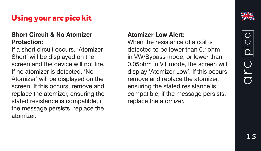#### **Short Circuit & No Atomizer Protection:**

If a short circuit occurs, 'Atomizer Short' will be displayed on the screen and the device will not fire. If no atomizer is detected, 'No Atomizer' will be displayed on the screen. If this occurs, remove and replace the atomizer, ensuring the stated resistance is compatible, if the message persists, replace the atomizer.

#### **Atomizer Low Alert:**

When the resistance of a coil is detected to be lower than 0.1ohm in VW/Bypass mode, or lower than 0.05ohm in VT mode, the screen will display 'Atomizer Low'. If this occurs, remove and replace the atomizer, ensuring the stated resistance is compatible, if the message persists, replace the atomizer.

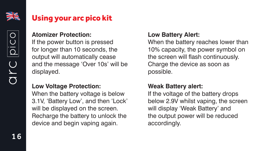

OYC

#### **Atomizer Protection:**

If the power button is pressed for longer than 10 seconds, the output will automatically cease and the message 'Over 10s' will be displayed.

#### **Low Voltage Protection:**

When the battery voltage is below 3.1V, 'Battery Low', and then 'Lock' will be displayed on the screen. Recharge the battery to unlock the device and begin vaping again.

### **Low Battery Alert:**

When the battery reaches lower than 10% capacity, the power symbol on the screen will flash continuously. Charge the device as soon as possible.

## **Weak Battery alert:**

If the voltage of the battery drops below 2.9V whilst vaping, the screen will display 'Weak Battery' and the output power will be reduced accordingly.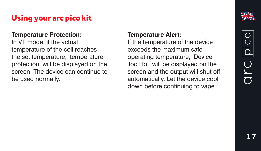#### **Temperature Protection:**

In VT mode, if the actual temperature of the coil reaches the set temperature, 'temperature protection' will be displayed on the screen. The device can continue to be used normally.

#### **Temperature Alert:**

If the temperature of the device exceeds the maximum safe operating temperature, 'Device Too Hot' will be displayed on the screen and the output will shut off automatically. Let the device cool down before continuing to vape.

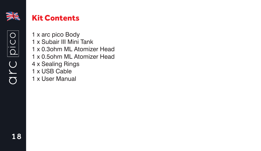

## Kit Contents

1 x arc pico Body 1 x Subair III Mini Tank 1 x 0.3ohm ML Atomizer Head 1 x 0.5ohm ML Atomizer Head 4 x Sealing Rings 1 x USB Cable 1 x User Manual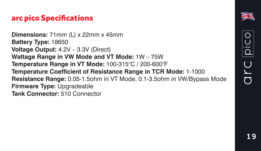## arc pico Specifications

**Dimensions:** 71mm (L) x 22mm x 45mm **Battery Type:** 18650 **Voltage Output:** 4.2V – 3.3V (Direct) **Wattage Range in VW Mode and VT Mode:** 1W – 75W **Temperature Range in VT Mode:** 100-315°C / 200-600°F **Temperature Coefficient of Resistance Range in TCR Mode:** 1-1000 **Resistance Range:** 0.05-1.5ohm in VT Mode, 0.1-3.5ohm in VW/Bypass Mode **Firmware Type:** Upgradeable **Tank Connector:** 510 Connector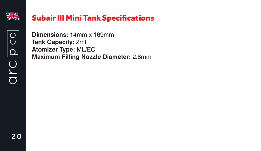

arc pico

## Subair III Mini Tank Specifications

**Dimensions:** 14mm x 169mm **Tank Capacity:** 2ml **Atomizer Type:** ML/EC **Maximum Filling Nozzle Diameter:** 2.8mm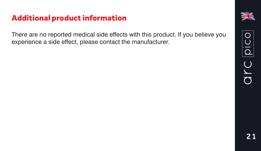## Additional product information

There are no reported medical side effects with this product. If you believe you experience a side effect, please contact the manufacturer.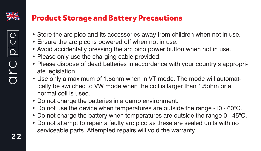

## Product Storage and Battery Precautions

- Store the arc pico and its accessories away from children when not in use.
- Ensure the arc pico is powered off when not in use.
- Avoid accidentally pressing the arc pico power button when not in use.
- Please only use the charging cable provided.
- Please dispose of dead batteries in accordance with your country's appropriate legislation.
- Use only a maximum of 1.5ohm when in VT mode. The mode will automatically be switched to VW mode when the coil is larger than 1.5ohm or a normal coil is used.
- Do not charge the batteries in a damp environment.
- Do not use the device when temperatures are outside the range -10 60°C.
- Do not charge the battery when temperatures are outside the range 0 45°C.
- Do not attempt to repair a faulty arc pico as these are sealed units with no serviceable parts. Attempted repairs will void the warranty.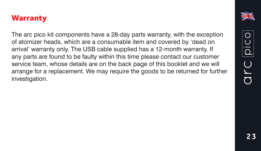## **Warranty**

The arc pico kit components have a 28-day parts warranty, with the exception of atomizer heads, which are a consumable item and covered by 'dead on arrival' warranty only. The USB cable supplied has a 12-month warranty. If any parts are found to be faulty within this time please contact our customer service team, whose details are on the back page of this booklet and we will arrange for a replacement. We may require the goods to be returned for further investigation.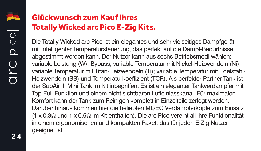

## Glückwunsch zum Kauf Ihres Totally Wicked arc Pico E-Zig Kits.

Die Totally Wicked arc Pico ist ein elegantes und sehr vielseitiges Dampfgerät mit intelligenter Temperatursteuerung, das perfekt auf die Dampf-Bedürfnisse abgestimmt werden kann. Der Nutzer kann aus sechs Betriebsmodi wählen; variable Leistung (W); Bypass; variable Temperatur mit Nickel-Heizwendeln (Ni); variable Temperatur mit Titan-Heizwendeln (Ti); variable Temperatur mit Edelstahl-Heizwendeln (SS) und Temperaturkoeffizient (TCR). Als perfekter Partner-Tank ist der SubAir III Mini Tank im Kit inbegriffen. Es ist ein eleganter Tankverdampfer mit Top-Füll-Funktion und einem nicht sichtbaren Lufteinlasskanal. Für maximalen Komfort kann der Tank zum Reinigen komplett in Einzelteile zerlegt werden. Darüber hinaus kommen hier die beliebten ML/EC Verdampferköpfe zum Einsatz (1 x 0.3Ω und 1 x 0.5Ω im Kit enthalten). Die arc Pico vereint all ihre Funktionalität in einem ergonomischen und kompakten Paket, das für jeden E-Zig Nutzer geeignet ist.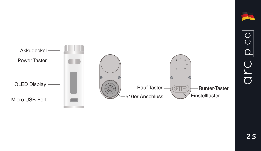

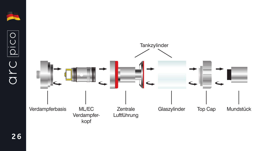

arc pico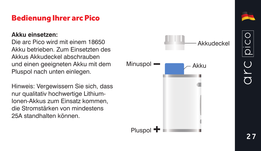## Bedienung Ihrer arc Pico

#### **Akku einsetzen:**

Die arc Pico wird mit einem 18650 Akku betrieben. Zum Einsetzten des Akkus Akkudeckel abschrauben und einen geeigneten Akku mit dem Pluspol nach unten einlegen.

Hinweis: Vergewissern Sie sich, dass nur qualitativ hochwertige Lithium-Ionen-Akkus zum Einsatz kommen, die Stromstärken von mindestens 25A standhalten können.



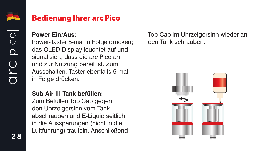

OILC

## Bedienung Ihrer arc Pico

#### **Power Ein/Aus:**

Power-Taster 5-mal in Folge drücken; das OLED-Display leuchtet auf und signalisiert, dass die arc Pico an und zur Nutzung bereit ist. Zum Ausschalten, Taster ebenfalls 5-mal in Folge drücken.

**Sub Air III Tank befüllen:**

Zum Befüllen Top Cap gegen den Uhrzeigersinn vom Tank abschrauben und E-Liquid seitlich in die Aussparungen (nicht in die Luftführung) träufeln. Anschließend Top Cap im Uhrzeigersinn wieder an den Tank schrauben.

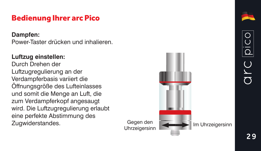## Bedienung Ihrer arc Pico

#### **Dampfen:**

Power-Taster drücken und inhalieren.

## **Luftzug einstellen:**

Durch Drehen der Luftzugregulierung an der Verdampferbasis variiert die Öffnungsgröße des Lufteinlasses und somit die Menge an Luft, die zum Verdampferkopf angesaugt wird. Die Luftzugregulierung erlaubt eine perfekte Abstimmung des Zugwiderstandes. Gegen den



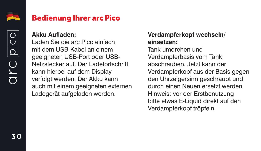

OLC

#### **Akku Aufladen:**

Laden Sie die arc Pico einfach mit dem USB-Kabel an einem geeigneten USB-Port oder USB-Netzstecker auf. Der Ladefortschritt kann hierbei auf dem Display verfolgt werden. Der Akku kann auch mit einem geeigneten externen Ladegerät aufgeladen werden.

#### **Verdampferkopf wechseln/ einsetzen:**

Tank umdrehen und Verdampferbasis vom Tank abschrauben. Jetzt kann der Verdampferkopf aus der Basis gegen den Uhrzeigersinn geschraubt und durch einen Neuen ersetzt werden. Hinweis: vor der Erstbenutzung bitte etwas E-Liquid direkt auf den Verdampferkopf tröpfeln.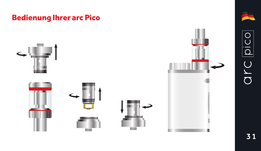## Bedienung Ihrer arc Pico













31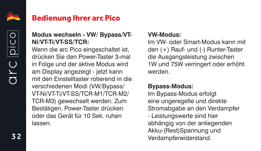

 $\overline{C}$  $\overline{\sigma}$ 

## **Modus wechseln - VW/ Bypass/VT-Ni/VT-Ti/VT-SS/TCR:**

Wenn die arc Pico eingeschaltet ist. drücken Sie den Power-Taster 3-mal in Folge und der aktive Modus wird am Display angezeigt - jetzt kann mit den Einstelltaster rotierend in die verschiedenen Modi (VW/Bypass/ VT-Ni/VT-Ti/VT-SS/TCR-M1/TCR-M2/ TCR-M3) gewechselt werden. Zum Bestätigen, Power-Taster drücken oder das Gerät für 10 Sek. ruhen lassen.

#### **VW-Modus:**

Im VW- oder Smart-Modus kann mit den (+) Rauf- und (-) Runter-Taster die Ausgangsleistung zwischen 1W und 75W verringert oder erhöht werden.

## **Bypass-Modus:**

Im Bypass-Modus erfolgt eine ungeregelte und direkte Stromabgabe an den Verdampfer - Leistungswerte sind hier abhängig von der anliegenden Akku-(Rest)Spannung und Verdampferwiderstand.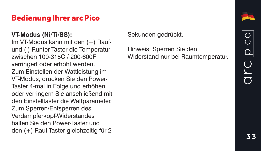## Bedienung Ihrer arc Pico

### **VT-Modus (Ni/Ti/SS):**

Im VT-Modus kann mit den (+) Raufund (-) Runter-Taster die Temperatur zwischen 100-315C / 200-600F verringert oder erhöht werden. Zum Einstellen der Wattleistung im VT-Modus, drücken Sie den Power-Taster 4-mal in Folge und erhöhen oder verringern Sie anschließend mit den Einstelltaster die Wattparameter. Zum Sperren/Entsperren des Verdampferkopf-Widerstandes halten Sie den Power-Taster und den (+) Rauf-Taster gleichzeitig für 2

Sekunden gedrückt.

Hinweis: Sperren Sie den Widerstand nur bei Raumtemperatur.

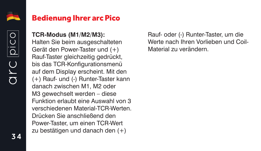

arc

#### **TCR-Modus (M1/M2/M3):**

Halten Sie beim ausgeschalteten Gerät den Power-Taster und (+) Rauf-Taster gleichzeitig gedrückt, bis das TCR-Konfigurationsmenü auf dem Display erscheint. Mit den (+) Rauf- und (-) Runter-Taster kann danach zwischen M1, M2 oder M3 gewechselt werden – diese Funktion erlaubt eine Auswahl von 3 verschiedenen Material-TCR-Werten. Drücken Sie anschließend den Power-Taster, um einen TCR-Wert zu bestätigen und danach den (+)

Rauf- oder (-) Runter-Taster, um die Werte nach Ihren Vorlieben und Coil-Material zu verändern.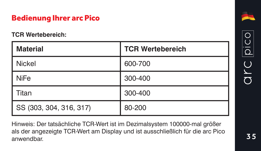## Bedienung Ihrer arc Pico

#### **TCR Wertebereich:**

| <b>Material</b>         | <b>TCR Wertebereich</b> |
|-------------------------|-------------------------|
| Nickel                  | 600-700                 |
| <b>NiFe</b>             | 300-400                 |
| Titan                   | 300-400                 |
| SS (303, 304, 316, 317) | 80-200                  |

Hinweis: Der tatsächliche TCR-Wert ist im Dezimalsystem 100000-mal größer als der angezeigte TCR-Wert am Display und ist ausschließlich für die arc Pico anwendbar.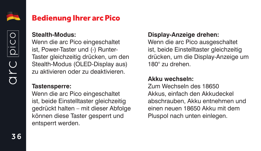

OLC

#### **Stealth-Modus:**

Wenn die arc Pico eingeschaltet ist, Power-Taster und (-) Runter-Taster gleichzeitig drücken, um den Stealth-Modus (OLED-Display aus) zu aktivieren oder zu deaktivieren.

#### **Tastensperre:**

Wenn die arc Pico eingeschaltet ist, beide Einstelltaster gleichzeitig gedrückt halten – mit dieser Abfolge können diese Taster gesperrt und entsperrt werden.

#### **Display-Anzeige drehen:**

Wenn die arc Pico ausgeschaltet ist, beide Einstelltaster gleichzeitig drücken, um die Display-Anzeige um 180° zu drehen.

#### **Akku wechseln:**

Zum Wechseln des 18650 Akkus, einfach den Akkudeckel abschrauben, Akku entnehmen und einen neuen 18650 Akku mit dem Pluspol nach unten einlegen.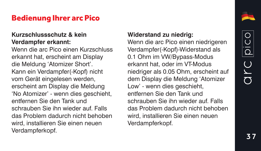## Bedienung Ihrer arc Pico

#### **Kurzschlussschutz & kein Verdampfer erkannt:**

Wenn die arc Pico einen Kurzschluss erkannt hat, erscheint am Display die Meldung 'Atomizer Short'. Kann ein Verdampfer(-Kopf) nicht vom Gerät eingelesen werden, erscheint am Display die Meldung 'No Atomizer' - wenn dies geschieht, entfernen Sie den Tank und schrauben Sie ihn wieder auf. Falls das Problem dadurch nicht behoben wird, installieren Sie einen neuen Verdampferkopf.

#### **Widerstand zu niedrig:**

Wenn die arc Pico einen niedrigeren Verdampfer(-Kopf)-Widerstand als 0.1 Ohm im VW/Bypass-Modus erkannt hat, oder im VT-Modus niedriger als 0.05 Ohm, erscheint auf dem Display die Meldung 'Atomizer Low' - wenn dies geschieht, entfernen Sie den Tank und schrauben Sie ihn wieder auf. Falls das Problem dadurch nicht behoben wird, installieren Sie einen neuen Verdampferkopf.

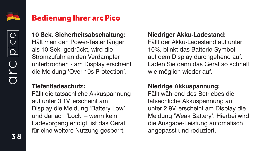

OLC

## Bedienung Ihrer arc Pico

**10 Sek. Sicherheitsabschaltung:** Hält man den Power-Taster länger als 10 Sek. gedrückt, wird die Stromzufuhr an den Verdampfer unterbrochen - am Display erscheint die Meldung 'Over 10s Protection'.

#### **Tiefentladeschutz:**

Fällt die tatsächliche Akkuspannung auf unter 3.1V, erscheint am Display die Meldung 'Battery Low' und danach 'Lock' – wenn kein Ladevorgang erfolgt, ist das Gerät für eine weitere Nutzung gesperrt.

#### **Niedriger Akku-Ladestand:**

Fällt der Akku-Ladestand auf unter 10%, blinkt das Batterie-Symbol auf dem Display durchgehend auf. Laden Sie dann das Gerät so schnell wie möglich wieder auf.

## **Niedrige Akkuspannung:**

Fällt während des Betriebes die tatsächliche Akkuspannung auf unter 2.9V, erscheint am Display die Meldung 'Weak Battery'. Hierbei wird die Ausgabe-Leistung automatisch angepasst und reduziert.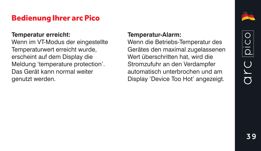## Bedienung Ihrer arc Pico

#### **Temperatur erreicht:**

Wenn im VT-Modus der eingestellte Temperaturwert erreicht wurde, erscheint auf dem Display die Meldung 'temperature protection'. Das Gerät kann normal weiter genutzt werden.

#### **Temperatur-Alarm:**

Wenn die Betriebs-Temperatur des Gerätes den maximal zugelassenen Wert überschritten hat, wird die Stromzufuhr an den Verdampfer automatisch unterbrochen und am Display 'Device Too Hot' angezeigt.

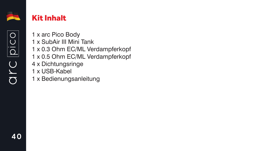

arc pico

## Kit Inhalt

1 x arc Pico Body 1 x SubAir III Mini Tank 1 x 0.3 Ohm EC/ML Verdampferkopf 1 x 0.5 Ohm EC/ML Verdampferkopf 4 x Dichtungsringe 1 x USB-Kabel 1 x Bedienungsanleitung

40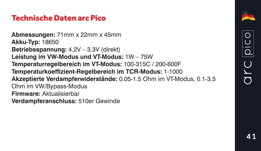## Technische Daten arc Pico

**Abmessungen:** 71mm x 22mm x 45mm **Akku-Typ:** 18650 **Betriebsspannung:** 4.2V – 3.3V (direkt) **Leistung im VW-Modus und VT-Modus:** 1W – 75W **Temperaturregelbereich im VT-Modus:** 100-315C / 200-600F **Temperaturkoeffizient-Regelbereich im TCR-Modus:** 1-1000 **Akzeptierte Verdampferwiderstände:** 0.05-1.5 Ohm im VT-Modus, 0.1-3.5 Ohm im VW/Bypass-Modus **Firmware:** Aktualisierbar **Verdampferanschluss:** 510er Gewinde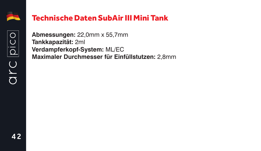

arc pico

## Technische Daten SubAir III Mini Tank

**Abmessungen:** 22,0mm x 55,7mm **Tankkapazität:** 2ml **Verdampferkopf-System:** ML/EC **Maximaler Durchmesser für Einfüllstutzen:** 2,8mm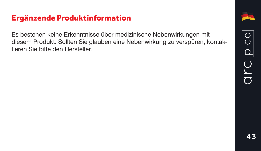## Ergänzende Produktinformation

Es bestehen keine Erkenntnisse über medizinische Nebenwirkungen mit diesem Produkt. Sollten Sie glauben eine Nebenwirkung zu verspüren, kontaktieren Sie bitte den Hersteller.

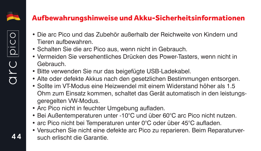

## Aufbewahrungshinweise und Akku-Sicherheitsinformationen

- Die arc Pico und das Zubehör außerhalb der Reichweite von Kindern und Tieren aufbewahren.
- Schalten Sie die arc Pico aus, wenn nicht in Gebrauch.
- Vermeiden Sie versehentliches Drücken des Power-Tasters, wenn nicht in Gebrauch.
- Bitte verwenden Sie nur das beigefügte USB-Ladekabel.
- Alte oder defekte Akkus nach den gesetzlichen Bestimmungen entsorgen.
- Sollte im VT-Modus eine Heizwendel mit einem Widerstand höher als 1.5 Ohm zum Einsatz kommen, schaltet das Gerät automatisch in den leistungsgeregelten VW-Modus.
- Arc Pico nicht in feuchter Umgebung aufladen.
- Bei Außentemperaturen unter -10°C und über 60°C arc Pico nicht nutzen.
- arc Pico nicht bei Temperaturen unter 0°C oder über 45°C aufladen.
- Versuchen Sie nicht eine defekte arc Pico zu reparieren. Beim Reparaturversuch erlischt die Garantie.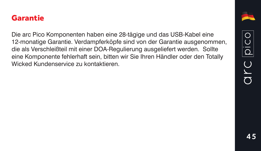## Garantie

Die arc Pico Komponenten haben eine 28-tägige und das USB-Kabel eine 12-monatige Garantie. Verdampferköpfe sind von der Garantie ausgenommen, die als Verschleißteil mit einer DOA-Regulierung ausgeliefert werden. Sollte eine Komponente fehlerhaft sein, bitten wir Sie Ihren Händler oder den Totally Wicked Kundenservice zu kontaktieren.